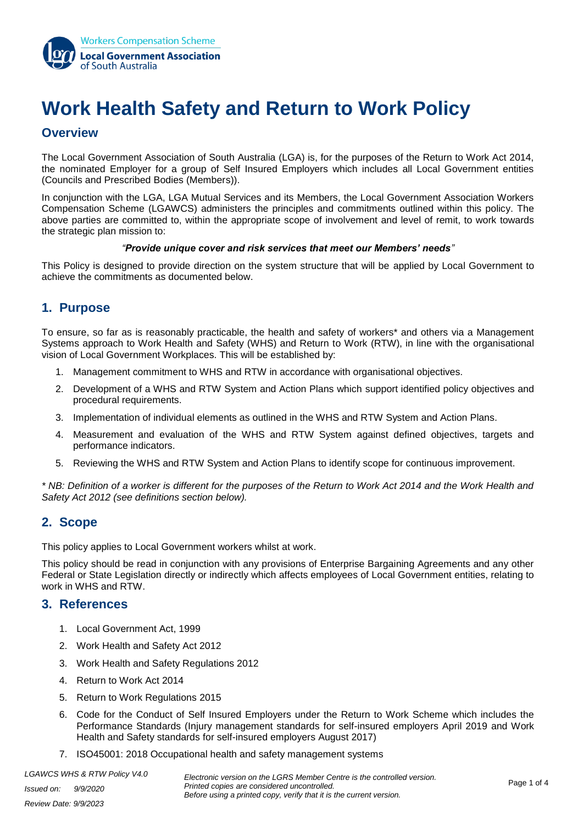

# **Work Health Safety and Return to Work Policy**

# **Overview**

The Local Government Association of South Australia (LGA) is, for the purposes of the Return to Work Act 2014, the nominated Employer for a group of Self Insured Employers which includes all Local Government entities (Councils and Prescribed Bodies (Members)).

In conjunction with the LGA, LGA Mutual Services and its Members, the Local Government Association Workers Compensation Scheme (LGAWCS) administers the principles and commitments outlined within this policy. The above parties are committed to, within the appropriate scope of involvement and level of remit, to work towards the strategic plan mission to:

#### *"Provide unique cover and risk services that meet our Members' needs"*

This Policy is designed to provide direction on the system structure that will be applied by Local Government to achieve the commitments as documented below.

# **1. Purpose**

To ensure, so far as is reasonably practicable, the health and safety of workers\* and others via a Management Systems approach to Work Health and Safety (WHS) and Return to Work (RTW), in line with the organisational vision of Local Government Workplaces. This will be established by:

- 1. Management commitment to WHS and RTW in accordance with organisational objectives.
- 2. Development of a WHS and RTW System and Action Plans which support identified policy objectives and procedural requirements.
- 3. Implementation of individual elements as outlined in the WHS and RTW System and Action Plans.
- 4. Measurement and evaluation of the WHS and RTW System against defined objectives, targets and performance indicators.
- 5. Reviewing the WHS and RTW System and Action Plans to identify scope for continuous improvement.

*\* NB: Definition of a worker is different for the purposes of the Return to Work Act 2014 and the Work Health and Safety Act 2012 (see definitions section below).*

# **2. Scope**

This policy applies to Local Government workers whilst at work.

This policy should be read in conjunction with any provisions of Enterprise Bargaining Agreements and any other Federal or State Legislation directly or indirectly which affects employees of Local Government entities, relating to work in WHS and RTW.

#### **3. References**

- 1. Local Government Act, 1999
- 2. Work Health and Safety Act 2012
- 3. Work Health and Safety Regulations 2012
- 4. Return to Work Act 2014
- 5. Return to Work Regulations 2015
- 6. Code for the Conduct of Self Insured Employers under the Return to Work Scheme which includes the Performance Standards (Injury management standards for self-insured employers April 2019 and Work Health and Safety standards for self-insured employers August 2017)
- 7. ISO45001: 2018 Occupational health and safety management systems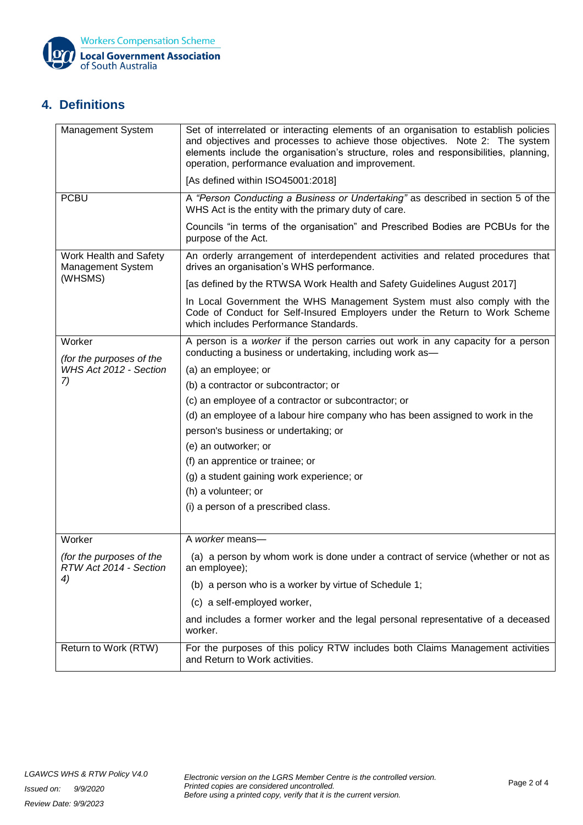

# **4. Definitions**

| Management System                                      | Set of interrelated or interacting elements of an organisation to establish policies<br>and objectives and processes to achieve those objectives. Note 2: The system<br>elements include the organisation's structure, roles and responsibilities, planning,<br>operation, performance evaluation and improvement. |
|--------------------------------------------------------|--------------------------------------------------------------------------------------------------------------------------------------------------------------------------------------------------------------------------------------------------------------------------------------------------------------------|
|                                                        | [As defined within ISO45001:2018]                                                                                                                                                                                                                                                                                  |
| <b>PCBU</b>                                            | A "Person Conducting a Business or Undertaking" as described in section 5 of the<br>WHS Act is the entity with the primary duty of care.                                                                                                                                                                           |
|                                                        | Councils "in terms of the organisation" and Prescribed Bodies are PCBUs for the<br>purpose of the Act.                                                                                                                                                                                                             |
| Work Health and Safety<br>Management System<br>(WHSMS) | An orderly arrangement of interdependent activities and related procedures that<br>drives an organisation's WHS performance.                                                                                                                                                                                       |
|                                                        | [as defined by the RTWSA Work Health and Safety Guidelines August 2017]                                                                                                                                                                                                                                            |
|                                                        | In Local Government the WHS Management System must also comply with the<br>Code of Conduct for Self-Insured Employers under the Return to Work Scheme<br>which includes Performance Standards.                                                                                                                     |
| Worker<br>(for the purposes of the                     | A person is a worker if the person carries out work in any capacity for a person<br>conducting a business or undertaking, including work as-                                                                                                                                                                       |
| WHS Act 2012 - Section                                 | (a) an employee; or                                                                                                                                                                                                                                                                                                |
| 7)                                                     | (b) a contractor or subcontractor; or                                                                                                                                                                                                                                                                              |
|                                                        | (c) an employee of a contractor or subcontractor; or                                                                                                                                                                                                                                                               |
|                                                        | (d) an employee of a labour hire company who has been assigned to work in the                                                                                                                                                                                                                                      |
|                                                        | person's business or undertaking; or                                                                                                                                                                                                                                                                               |
|                                                        | (e) an outworker; or                                                                                                                                                                                                                                                                                               |
|                                                        | (f) an apprentice or trainee; or                                                                                                                                                                                                                                                                                   |
|                                                        | (g) a student gaining work experience; or                                                                                                                                                                                                                                                                          |
|                                                        | (h) a volunteer; or                                                                                                                                                                                                                                                                                                |
|                                                        | (i) a person of a prescribed class.                                                                                                                                                                                                                                                                                |
| Worker                                                 | A worker means-                                                                                                                                                                                                                                                                                                    |
| (for the purposes of the<br>RTW Act 2014 - Section     | (a) a person by whom work is done under a contract of service (whether or not as<br>an employee);                                                                                                                                                                                                                  |
| 4)                                                     | (b) a person who is a worker by virtue of Schedule 1;                                                                                                                                                                                                                                                              |
|                                                        | (c) a self-employed worker,                                                                                                                                                                                                                                                                                        |
|                                                        | and includes a former worker and the legal personal representative of a deceased<br>worker.                                                                                                                                                                                                                        |
| Return to Work (RTW)                                   | For the purposes of this policy RTW includes both Claims Management activities<br>and Return to Work activities.                                                                                                                                                                                                   |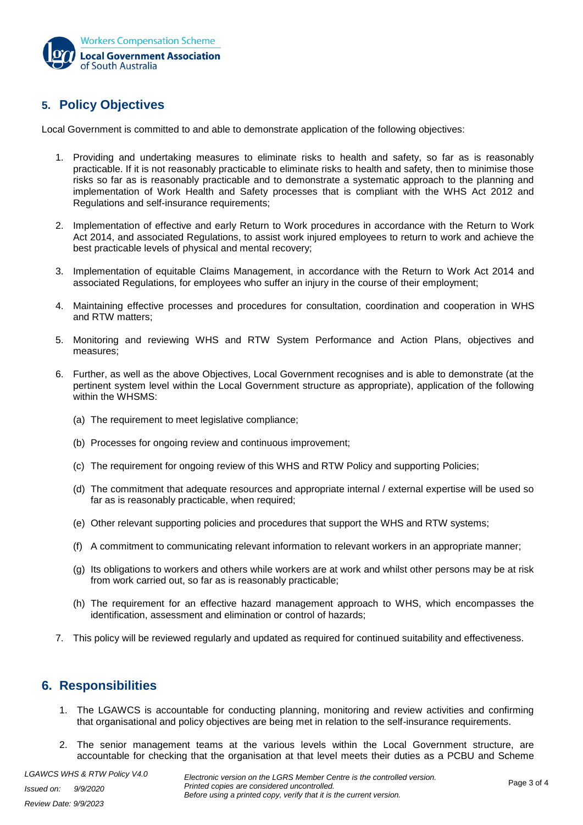

# **5. Policy Objectives**

Local Government is committed to and able to demonstrate application of the following objectives:

- 1. Providing and undertaking measures to eliminate risks to health and safety, so far as is reasonably practicable. If it is not reasonably practicable to eliminate risks to health and safety, then to minimise those risks so far as is reasonably practicable and to demonstrate a systematic approach to the planning and implementation of Work Health and Safety processes that is compliant with the WHS Act 2012 and Regulations and self-insurance requirements;
- 2. Implementation of effective and early Return to Work procedures in accordance with the Return to Work Act 2014, and associated Regulations, to assist work injured employees to return to work and achieve the best practicable levels of physical and mental recovery;
- 3. Implementation of equitable Claims Management, in accordance with the Return to Work Act 2014 and associated Regulations, for employees who suffer an injury in the course of their employment;
- 4. Maintaining effective processes and procedures for consultation, coordination and cooperation in WHS and RTW matters;
- 5. Monitoring and reviewing WHS and RTW System Performance and Action Plans, objectives and measures;
- 6. Further, as well as the above Objectives, Local Government recognises and is able to demonstrate (at the pertinent system level within the Local Government structure as appropriate), application of the following within the WHSMS:
	- (a) The requirement to meet legislative compliance;
	- (b) Processes for ongoing review and continuous improvement;
	- (c) The requirement for ongoing review of this WHS and RTW Policy and supporting Policies;
	- (d) The commitment that adequate resources and appropriate internal / external expertise will be used so far as is reasonably practicable, when required;
	- (e) Other relevant supporting policies and procedures that support the WHS and RTW systems;
	- (f) A commitment to communicating relevant information to relevant workers in an appropriate manner;
	- (g) Its obligations to workers and others while workers are at work and whilst other persons may be at risk from work carried out, so far as is reasonably practicable;
	- (h) The requirement for an effective hazard management approach to WHS, which encompasses the identification, assessment and elimination or control of hazards;
- 7. This policy will be reviewed regularly and updated as required for continued suitability and effectiveness.

# **6. Responsibilities**

- 1. The LGAWCS is accountable for conducting planning, monitoring and review activities and confirming that organisational and policy objectives are being met in relation to the self-insurance requirements.
- 2. The senior management teams at the various levels within the Local Government structure, are accountable for checking that the organisation at that level meets their duties as a PCBU and Scheme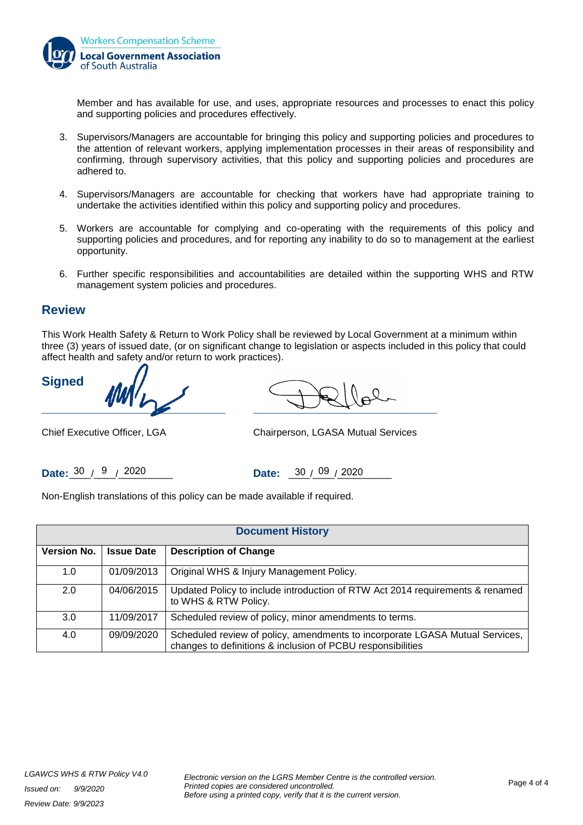

Member and has available for use, and uses, appropriate resources and processes to enact this policy and supporting policies and procedures effectively.

- 3. Supervisors/Managers are accountable for bringing this policy and supporting policies and procedures to the attention of relevant workers, applying implementation processes in their areas of responsibility and confirming, through supervisory activities, that this policy and supporting policies and procedures are adhered to.
- 4. Supervisors/Managers are accountable for checking that workers have had appropriate training to undertake the activities identified within this policy and supporting policy and procedures.
- 5. Workers are accountable for complying and co-operating with the requirements of this policy and supporting policies and procedures, and for reporting any inability to do so to management at the earliest opportunity.
- 6. Further specific responsibilities and accountabilities are detailed within the supporting WHS and RTW management system policies and procedures.

# **Review**

This Work Health Safety & Return to Work Policy shall be reviewed by Local Government at a minimum within three (3) years of issued date, (or on significant change to legislation or aspects included in this policy that could affect health and safety and/or return to work practices).

**Signed**

 $\frac{1}{\sqrt{2\pi}}$ 

Chief Executive Officer, LGA Chairperson, LGASA Mutual Services

**Date:**  $\frac{30}{9}$  / 2020 **Date:**  $\frac{30}{9}$  / 2020

Non-English translations of this policy can be made available if required.

| <b>Document History</b> |                   |                                                                                                                                             |
|-------------------------|-------------------|---------------------------------------------------------------------------------------------------------------------------------------------|
| <b>Version No.</b>      | <b>Issue Date</b> | <b>Description of Change</b>                                                                                                                |
| 1.0                     | 01/09/2013        | Original WHS & Injury Management Policy.                                                                                                    |
| 2.0                     | 04/06/2015        | Updated Policy to include introduction of RTW Act 2014 requirements & renamed<br>to WHS & RTW Policy.                                       |
| 3.0                     | 11/09/2017        | Scheduled review of policy, minor amendments to terms.                                                                                      |
| 4.0                     | 09/09/2020        | Scheduled review of policy, amendments to incorporate LGASA Mutual Services,<br>changes to definitions & inclusion of PCBU responsibilities |